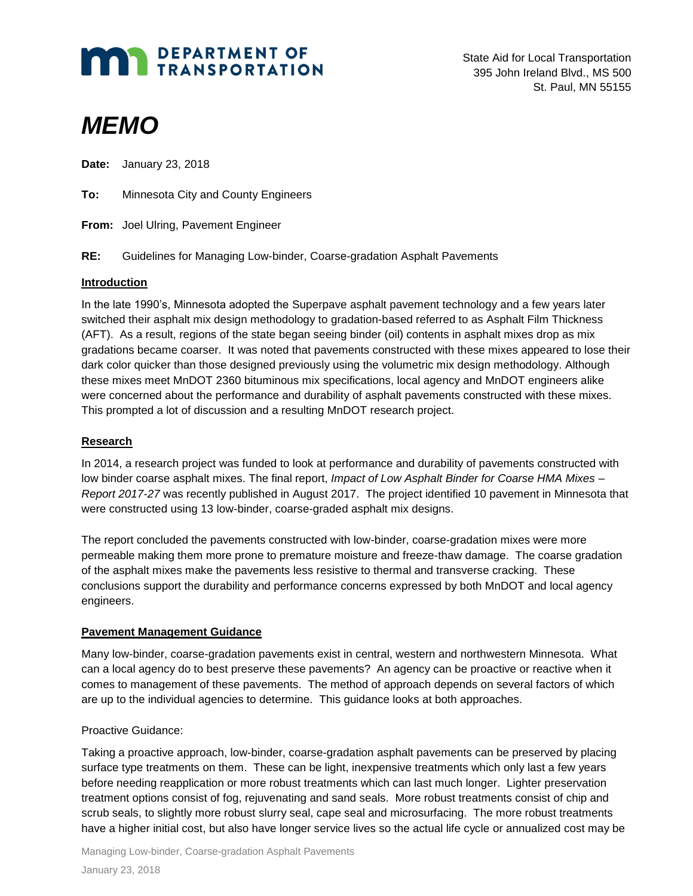# **MAN DEPARTMENT OF TRANSPORTATION**

State Aid for Local Transportation 395 John Ireland Blvd., MS 500 St. Paul, MN 55155

# *MEMO*

**Date:** January 23, 2018

**To:** Minnesota City and County Engineers

**From:** Joel Ulring, Pavement Engineer

**RE:** Guidelines for Managing Low-binder, Coarse-gradation Asphalt Pavements

#### **Introduction**

In the late 1990's, Minnesota adopted the Superpave asphalt pavement technology and a few years later switched their asphalt mix design methodology to gradation-based referred to as Asphalt Film Thickness (AFT). As a result, regions of the state began seeing binder (oil) contents in asphalt mixes drop as mix gradations became coarser. It was noted that pavements constructed with these mixes appeared to lose their dark color quicker than those designed previously using the volumetric mix design methodology. Although these mixes meet MnDOT 2360 bituminous mix specifications, local agency and MnDOT engineers alike were concerned about the performance and durability of asphalt pavements constructed with these mixes. This prompted a lot of discussion and a resulting MnDOT research project.

## **Research**

In 2014, a research project was funded to look at performance and durability of pavements constructed with low binder coarse asphalt mixes. The final report, *Impact of Low Asphalt Binder for Coarse HMA Mixes – Report 2017-27* was recently published in August 2017. The project identified 10 pavement in Minnesota that were constructed using 13 low-binder, coarse-graded asphalt mix designs.

The report concluded the pavements constructed with low-binder, coarse-gradation mixes were more permeable making them more prone to premature moisture and freeze-thaw damage. The coarse gradation of the asphalt mixes make the pavements less resistive to thermal and transverse cracking. These conclusions support the durability and performance concerns expressed by both MnDOT and local agency engineers.

#### **Pavement Management Guidance**

Many low-binder, coarse-gradation pavements exist in central, western and northwestern Minnesota. What can a local agency do to best preserve these pavements? An agency can be proactive or reactive when it comes to management of these pavements. The method of approach depends on several factors of which are up to the individual agencies to determine. This guidance looks at both approaches.

#### Proactive Guidance:

Taking a proactive approach, low-binder, coarse-gradation asphalt pavements can be preserved by placing surface type treatments on them. These can be light, inexpensive treatments which only last a few years before needing reapplication or more robust treatments which can last much longer. Lighter preservation treatment options consist of fog, rejuvenating and sand seals. More robust treatments consist of chip and scrub seals, to slightly more robust slurry seal, cape seal and microsurfacing. The more robust treatments have a higher initial cost, but also have longer service lives so the actual life cycle or annualized cost may be